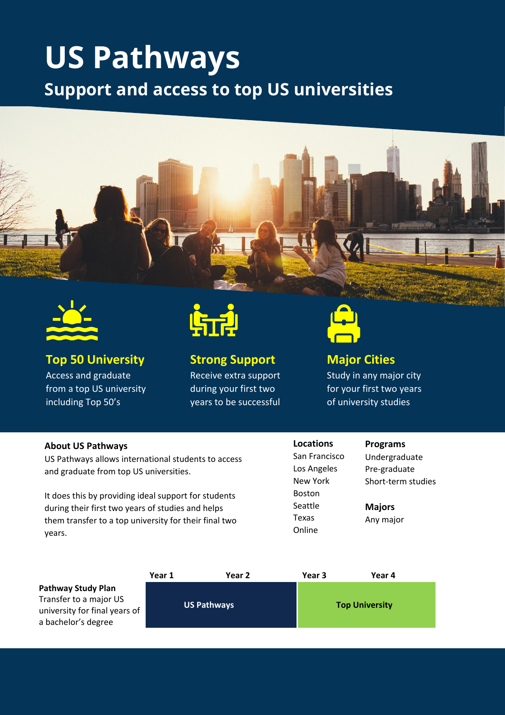## **US Pathways Support and access to top US universities**





**Top 50 University** Access and graduate from a top US university including Top 50's



### **Strong Support**

Receive extra support during your first two years to be successful



### **Major Cities**

Study in any major city for your first two years of university studies

#### **About US Pathways**

US Pathways allows international students to access and graduate from top US universities.

It does this by providing ideal support for students during their first two years of studies and helps them transfer to a top university for their final two years.

#### **Locations** San Francisco Los Angeles New York Boston

Seattle Texas Online

#### **Programs**

Undergraduate Pre-graduate Short-term studies

**Majors** Any major

|                               | Year 1 | Year 2             | Year 3                | Year 4 |  |
|-------------------------------|--------|--------------------|-----------------------|--------|--|
| <b>Pathway Study Plan</b>     |        |                    |                       |        |  |
| Transfer to a major US        |        |                    | <b>Top University</b> |        |  |
| university for final years of |        | <b>US Pathways</b> |                       |        |  |
| a bachelor's degree           |        |                    |                       |        |  |